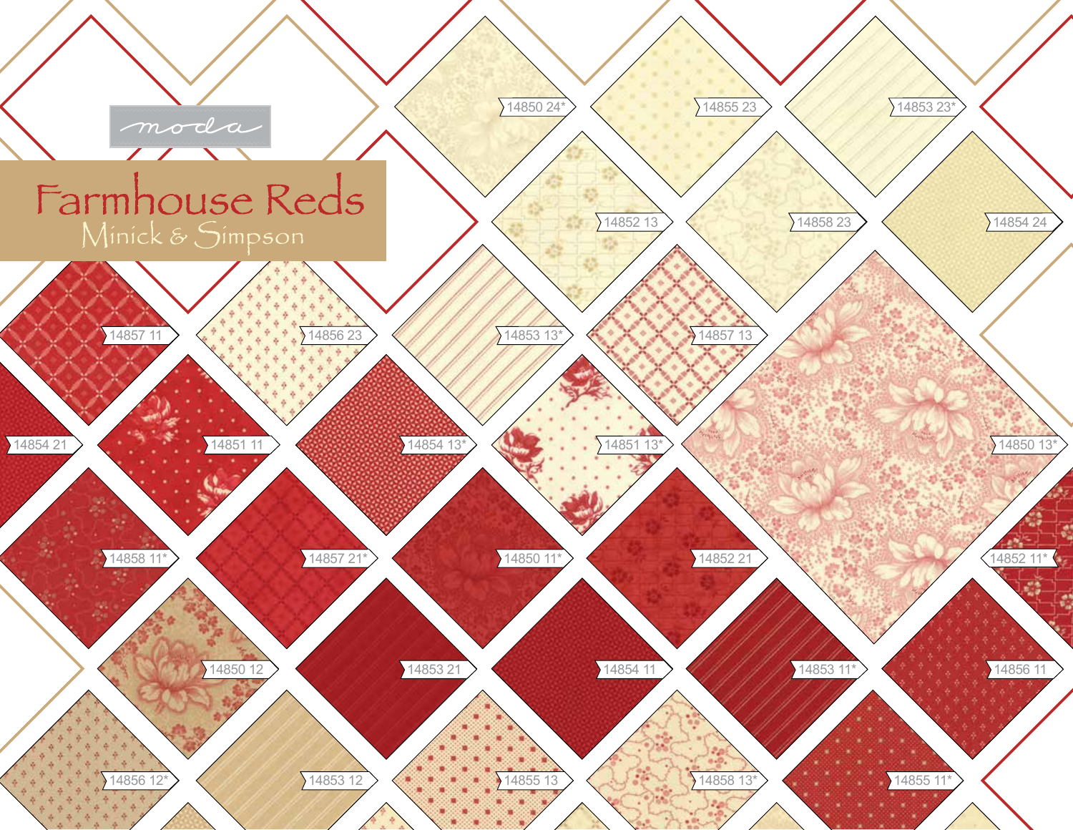